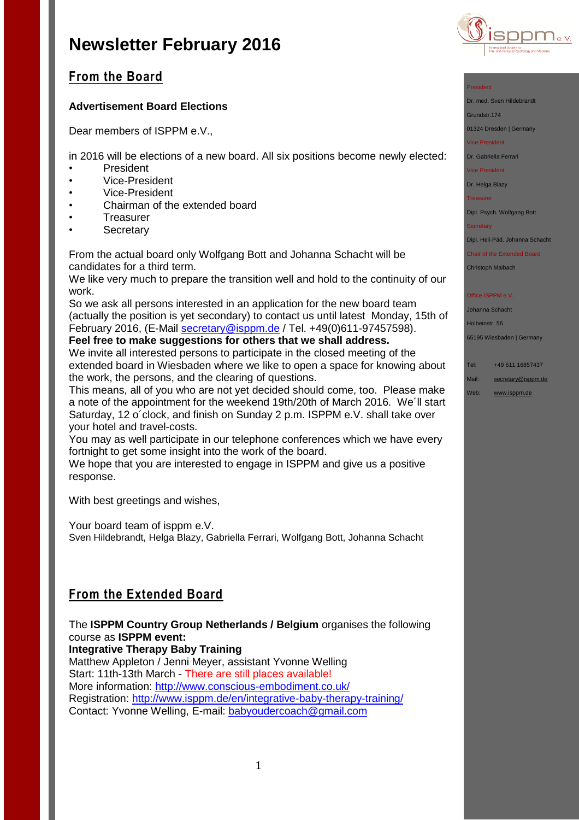

## **From the Board**

## **Advertisement Board Elections**

Dear members of ISPPM e.V.,

in 2016 will be elections of a new board. All six positions become newly elected:

- President
- Vice-President
- Vice-President
- Chairman of the extended board
- Treasurer
- **Secretary**

From the actual board only Wolfgang Bott and Johanna Schacht will be candidates for a third term.

We like very much to prepare the transition well and hold to the continuity of our work.

So we ask all persons interested in an application for the new board team (actually the position is yet secondary) to contact us until latest Monday, 15th of February 2016, (E-Mail [secretary@isppm.de](mailto:secretary@isppm.de) / Tel. +49(0)611-97457598).

**Feel free to make suggestions for others that we shall address.** We invite all interested persons to participate in the closed meeting of the extended board in Wiesbaden where we like to open a space for knowing about the work, the persons, and the clearing of questions.

This means, all of you who are not yet decided should come, too. Please make a note of the appointment for the weekend 19th/20th of March 2016. We´ll start Saturday, 12 o´clock, and finish on Sunday 2 p.m. ISPPM e.V. shall take over your hotel and travel-costs.

You may as well participate in our telephone conferences which we have every fortnight to get some insight into the work of the board.

We hope that you are interested to engage in ISPPM and give us a positive response.

With best greetings and wishes,

Your board team of isppm e.V. Sven Hildebrandt, Helga Blazy, Gabriella Ferrari, Wolfgang Bott, Johanna Schacht

# **From the Extended Board**

The **ISPPM Country Group Netherlands / Belgium** organises the following course as **ISPPM event:**

**Integrative Therapy Baby Training**

Matthew Appleton / Jenni Meyer, assistant Yvonne Welling Start: 11th-13th March - There are still places available! More information:<http://www.conscious-embodiment.co.uk/> Registration:<http://www.isppm.de/en/integrative-baby-therapy-training/> Contact: Yvonne Welling, E-mail: [babyoudercoach@gmail.com](mailto:babyoudercoach@gmail.com)

### President

Dr. med. Sven Hildebrandt

Grundstr.174

01324 Dresden | Germany

Vice President

Dr. Gabriella Ferrari

Vice President

## Dr. Helga Blazy

**Treasurer** 

Dipl. Psych. Wolfgang Bott

**Secretary** 

Dipl. Heil-Päd. Johanna Schacht

Chair of the Extended Board

Christoph Maibach

### Office ISPPM e.V

Johanna Schacht Holbeinstr. 56

65195 Wiesbaden | Germany

Tel: +49 611 16857437

- Mail: [secretary@isppm.de](mailto:secretary@isppm.de)
- Web: [www.isppm.de](http://www.isppm.de/)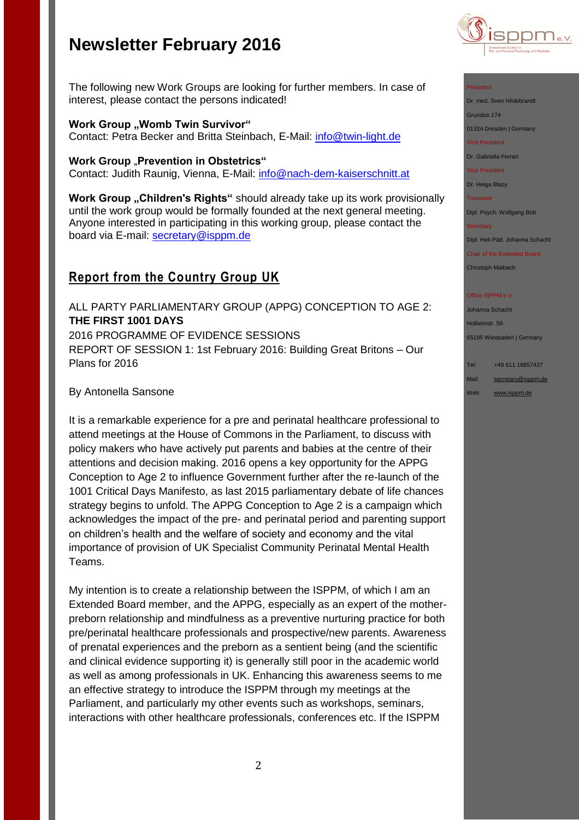

President

Dr. med. Sven Hildebrandt

Grundstr.174

01324 Dresden | Germany

Vice President

Dr. Gabriella Ferrari

Vice President

Dr. Helga Blazy

Treasurer

Dipl. Psych. Wolfgang Bott

**Secretary** 

Dipl. Heil-Päd. Johanna Schacht

Chair of the Extended Board Christoph Maibach

**Office ISPPM e.V** 

Johanna Schacht Holbeinstr. 56 65195 Wiesbaden | Germany

Tel: +49 611 16857437 Mail: [secretary@isppm.de](mailto:secretary@isppm.de)

Web: [www.isppm.de](http://www.isppm.de/)

The following new Work Groups are looking for further members. In case of interest, please contact the persons indicated!

### **Work Group ..Womb Twin Survivor"**

Contact: Petra Becker and Britta Steinbach, E-Mail: [info@twin-light.de](mailto:info@twin-light.de)

### **Work Group** "Prevention in Obstetrics"

Contact: Judith Raunig, Vienna, E-Mail: [info@nach-dem-kaiserschnitt.at](mailto:info@nach-dem-kaiserschnitt.at)

**Work Group "Children's Rights"** should already take up its work provisionally until the work group would be formally founded at the next general meeting. Anyone interested in participating in this working group, please contact the board via E-mail: [secretary@isppm.de](mailto:secretary@isppm.de)

## **Report from the Country Group UK**

ALL PARTY PARLIAMENTARY GROUP (APPG) CONCEPTION TO AGE 2: **THE FIRST 1001 DAYS** 2016 PROGRAMME OF EVIDENCE SESSIONS REPORT OF SESSION 1: 1st February 2016: Building Great Britons – Our Plans for 2016

### By Antonella Sansone

It is a remarkable experience for a pre and perinatal healthcare professional to attend meetings at the House of Commons in the Parliament, to discuss with policy makers who have actively put parents and babies at the centre of their attentions and decision making. 2016 opens a key opportunity for the APPG Conception to Age 2 to influence Government further after the re-launch of the 1001 Critical Days Manifesto, as last 2015 parliamentary debate of life chances strategy begins to unfold. The APPG Conception to Age 2 is a campaign which acknowledges the impact of the pre- and perinatal period and parenting support on children's health and the welfare of society and economy and the vital importance of provision of UK Specialist Community Perinatal Mental Health Teams.

My intention is to create a relationship between the ISPPM, of which I am an Extended Board member, and the APPG, especially as an expert of the motherpreborn relationship and mindfulness as a preventive nurturing practice for both pre/perinatal healthcare professionals and prospective/new parents. Awareness of prenatal experiences and the preborn as a sentient being (and the scientific and clinical evidence supporting it) is generally still poor in the academic world as well as among professionals in UK. Enhancing this awareness seems to me an effective strategy to introduce the ISPPM through my meetings at the Parliament, and particularly my other events such as workshops, seminars, interactions with other healthcare professionals, conferences etc. If the ISPPM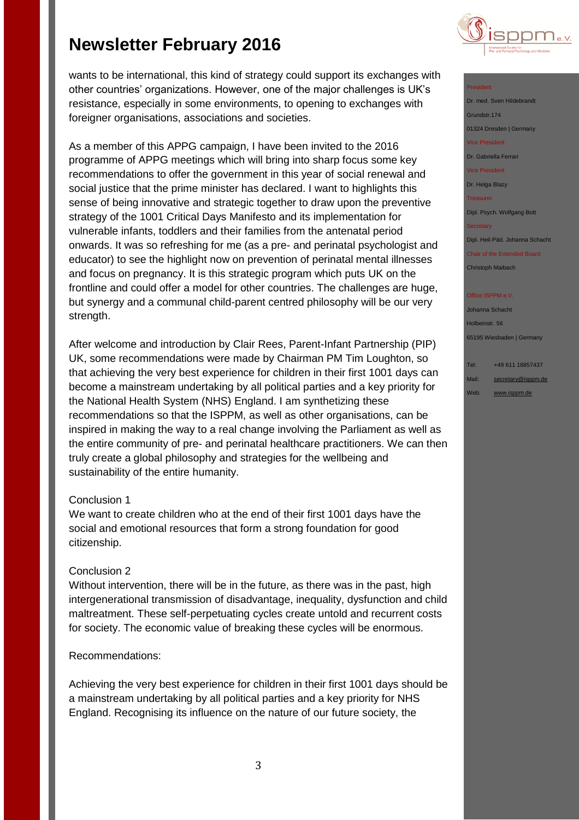wants to be international, this kind of strategy could support its exchanges with other countries' organizations. However, one of the major challenges is UK's resistance, especially in some environments, to opening to exchanges with foreigner organisations, associations and societies.

As a member of this APPG campaign, I have been invited to the 2016 programme of APPG meetings which will bring into sharp focus some key recommendations to offer the government in this year of social renewal and social justice that the prime minister has declared. I want to highlights this sense of being innovative and strategic together to draw upon the preventive strategy of the 1001 Critical Days Manifesto and its implementation for vulnerable infants, toddlers and their families from the antenatal period onwards. It was so refreshing for me (as a pre- and perinatal psychologist and educator) to see the highlight now on prevention of perinatal mental illnesses and focus on pregnancy. It is this strategic program which puts UK on the frontline and could offer a model for other countries. The challenges are huge, but synergy and a communal child-parent centred philosophy will be our very strength.

After welcome and introduction by Clair Rees, Parent-Infant Partnership (PIP) UK, some recommendations were made by Chairman PM Tim Loughton, so that achieving the very best experience for children in their first 1001 days can become a mainstream undertaking by all political parties and a key priority for the National Health System (NHS) England. I am synthetizing these recommendations so that the ISPPM, as well as other organisations, can be inspired in making the way to a real change involving the Parliament as well as the entire community of pre- and perinatal healthcare practitioners. We can then truly create a global philosophy and strategies for the wellbeing and sustainability of the entire humanity.

### Conclusion 1

We want to create children who at the end of their first 1001 days have the social and emotional resources that form a strong foundation for good citizenship.

### Conclusion 2

Without intervention, there will be in the future, as there was in the past, high intergenerational transmission of disadvantage, inequality, dysfunction and child maltreatment. These self-perpetuating cycles create untold and recurrent costs for society. The economic value of breaking these cycles will be enormous.

### Recommendations:

Achieving the very best experience for children in their first 1001 days should be a mainstream undertaking by all political parties and a key priority for NHS England. Recognising its influence on the nature of our future society, the



### President

Dr. med. Sven Hildebrandt Grundstr.174 01324 Dresden | Germany Vice President Dr. Gabriella Ferrari Vice President

Dr. Helga Blazy

**Treasurer** 

Dipl. Psych. Wolfgang Bott

**Secretary** 

Dipl. Heil-Päd. Johanna Schacht

Chair of the Extended Board Christoph Maibach

#### Office ISPPM e.V

Johanna Schacht Holbeinstr. 56 65195 Wiesbaden | Germany

# Tel: +49 611 16857437

Mail: [secretary@isppm.de](mailto:secretary@isppm.de) Web: [www.isppm.de](http://www.isppm.de/)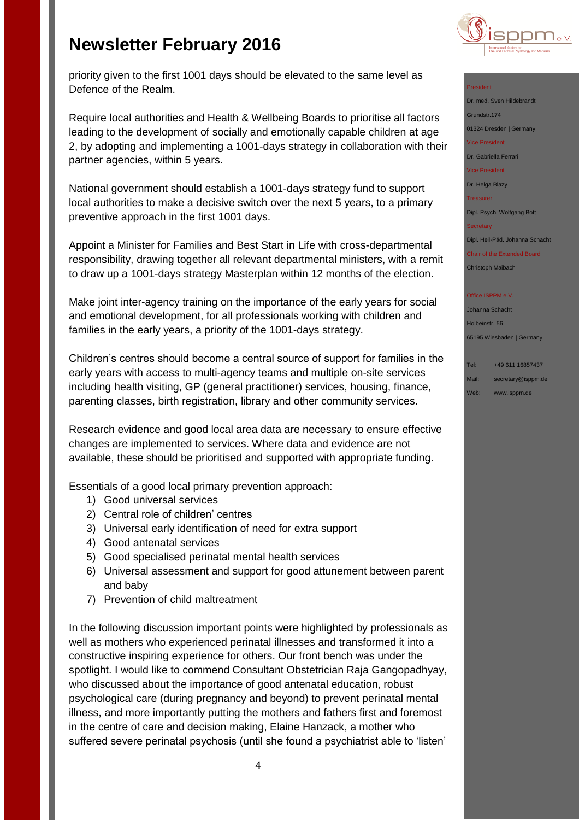

priority given to the first 1001 days should be elevated to the same level as Defence of the Realm.

Require local authorities and Health & Wellbeing Boards to prioritise all factors leading to the development of socially and emotionally capable children at age 2, by adopting and implementing a 1001-days strategy in collaboration with their partner agencies, within 5 years.

National government should establish a 1001-days strategy fund to support local authorities to make a decisive switch over the next 5 years, to a primary preventive approach in the first 1001 days.

Appoint a Minister for Families and Best Start in Life with cross-departmental responsibility, drawing together all relevant departmental ministers, with a remit to draw up a 1001-days strategy Masterplan within 12 months of the election.

Make joint inter-agency training on the importance of the early years for social and emotional development, for all professionals working with children and families in the early years, a priority of the 1001-days strategy.

Children's centres should become a central source of support for families in the early years with access to multi-agency teams and multiple on-site services including health visiting, GP (general practitioner) services, housing, finance, parenting classes, birth registration, library and other community services.

Research evidence and good local area data are necessary to ensure effective changes are implemented to services. Where data and evidence are not available, these should be prioritised and supported with appropriate funding.

Essentials of a good local primary prevention approach:

- 1) Good universal services
- 2) Central role of children' centres
- 3) Universal early identification of need for extra support
- 4) Good antenatal services
- 5) Good specialised perinatal mental health services
- 6) Universal assessment and support for good attunement between parent and baby
- 7) Prevention of child maltreatment

In the following discussion important points were highlighted by professionals as well as mothers who experienced perinatal illnesses and transformed it into a constructive inspiring experience for others. Our front bench was under the spotlight. I would like to commend Consultant Obstetrician Raja Gangopadhyay, who discussed about the importance of good antenatal education, robust psychological care (during pregnancy and beyond) to prevent perinatal mental illness, and more importantly putting the mothers and fathers first and foremost in the centre of care and decision making, Elaine Hanzack, a mother who suffered severe perinatal psychosis (until she found a psychiatrist able to 'listen'

### President

Dr. med. Sven Hildebrandt Grundstr.174 01324 Dresden | Germany

Vice President

Dr. Gabriella Ferrari

Vice President

Dr. Helga Blazy

Treasurer

Dipl. Psych. Wolfgang Bott

**Secretary** 

Dipl. Heil-Päd. Johanna Schacht

Chair of the Extended Board Christoph Maibach

**Office ISPPM e.V** 

Johanna Schacht Holbeinstr. 56 65195 Wiesbaden | Germany

Tel: +49 611 16857437 Mail: [secretary@isppm.de](mailto:secretary@isppm.de)

Web: [www.isppm.de](http://www.isppm.de/)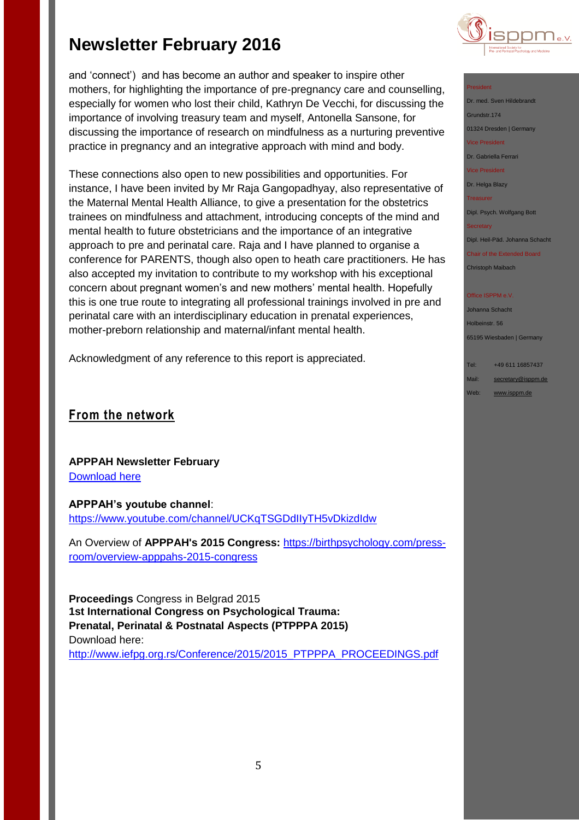and 'connect') and has become an author and speaker to inspire other mothers, for highlighting the importance of pre-pregnancy care and counselling, especially for women who lost their child, Kathryn De Vecchi, for discussing the importance of involving treasury team and myself, Antonella Sansone, for discussing the importance of research on mindfulness as a nurturing preventive practice in pregnancy and an integrative approach with mind and body.

These connections also open to new possibilities and opportunities. For instance, I have been invited by Mr Raja Gangopadhyay, also representative of the Maternal Mental Health Alliance, to give a presentation for the obstetrics trainees on mindfulness and attachment, introducing concepts of the mind and mental health to future obstetricians and the importance of an integrative approach to pre and perinatal care. Raja and I have planned to organise a conference for PARENTS, though also open to heath care practitioners. He has also accepted my invitation to contribute to my workshop with his exceptional concern about pregnant women's and new mothers' mental health. Hopefully this is one true route to integrating all professional trainings involved in pre and perinatal care with an interdisciplinary education in prenatal experiences, mother-preborn relationship and maternal/infant mental health.

Acknowledgment of any reference to this report is appreciated.

# **From the network**

**APPPAH Newsletter February** [Download here](http://campaign.r20.constantcontact.com/render?ca=628da49b-518c-4cbf-8433-0110b7592763&c=4f6f8db0-4312-11e3-9474-d4ae527557ea&ch=5087b470-4312-11e3-955a-d4ae527557ea)

**APPPAH's youtube channel**: <https://www.youtube.com/channel/UCKqTSGDdIIyTH5vDkizdIdw>

An Overview of **APPPAH's 2015 Congress:** [https://birthpsychology.com/press](https://birthpsychology.com/press-room/overview-apppahs-2015-congress)[room/overview-apppahs-2015-congress](https://birthpsychology.com/press-room/overview-apppahs-2015-congress)

**Proceedings** Congress in Belgrad 2015 **1st International Congress on Psychological Trauma: Prenatal, Perinatal & Postnatal Aspects (PTPPPA 2015)** Download here:

[http://www.iefpg.org.rs/Conference/2015/2015\\_PTPPPA\\_PROCEEDINGS.pdf](http://www.iefpg.org.rs/Conference/2015/2015_PTPPPA_PROCEEDINGS.pdf)



### President

Dr. med. Sven Hildebrandt Grundstr.174 01324 Dresden | Germany Vice President Dr. Gabriella Ferrari Vice President Dr. Helga Blazy

**Treasurer** 

Dipl. Psych. Wolfgang Bott

**Secretary** 

Dipl. Heil-Päd. Johanna Schacht

Chair of the Extended Board Christoph Maibach

#### **Office ISPPM e.V**

Johanna Schacht Holbeinstr. 56 65195 Wiesbaden | Germany

Tel: +49 611 16857437 Mail: [secretary@isppm.de](mailto:secretary@isppm.de) Web: [www.isppm.de](http://www.isppm.de/)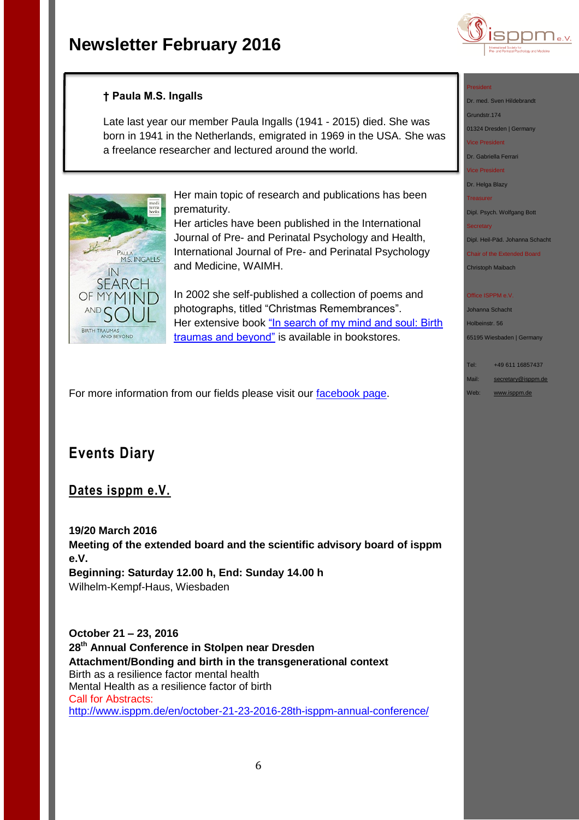

## **† Paula M.S. Ingalls**

Late last year our member Paula Ingalls (1941 - 2015) died. She was born in 1941 in the Netherlands, emigrated in 1969 in the USA. She was a freelance researcher and lectured around the world.



Her main topic of research and publications has been prematurity.

Her articles have been published in the International Journal of Pre- and Perinatal Psychology and Health, International Journal of Pre- and Perinatal Psychology and Medicine, WAIMH.

In 2002 she self-published a collection of poems and photographs, titled "Christmas Remembrances". Her extensive book "In search of my mind and soul: Birth [traumas and beyond"](http://www.amazon.com/search-mind-soul-traumas-beyond-ebook/dp/B013WQV656/ref=asap_bc?ie=UTF8) is available in bookstores.

For more information from our fields please visit our [facebook page.](https://www.facebook.com/ISPPM-eV-124066644364106/)

# **Events Diary**

## **Dates isppm e.V.**

**19/20 March 2016 Meeting of the extended board and the scientific advisory board of isppm e.V. Beginning: Saturday 12.00 h, End: Sunday 14.00 h**

Wilhelm-Kempf-Haus, Wiesbaden

**October 21 – 23, 2016 28th Annual Conference in Stolpen near Dresden Attachment/Bonding and birth in the transgenerational context** Birth as a resilience factor mental health Mental Health as a resilience factor of birth Call for Abstracts: <http://www.isppm.de/en/october-21-23-2016-28th-isppm-annual-conference/>

#### President

Dr. med. Sven Hildebrandt Grundstr.174

01324 Dresden | Germany

ice President

Dr. Gabriella Ferrari

Vice President Dr. Helga Blazy

Treasurer

Dipl. Psych. Wolfgang Bott

**Secretary** 

Dipl. Heil-Päd. Johanna Schacht

Chair of the Extended Board Christoph Maibach

#### Office ISPPM e.V

Johanna Schacht Holbeinstr. 56 65195 Wiesbaden | Germany

Tel: +49 611 16857437 Mail: [secretary@isppm.de](mailto:secretary@isppm.de) Web: [www.isppm.de](http://www.isppm.de/)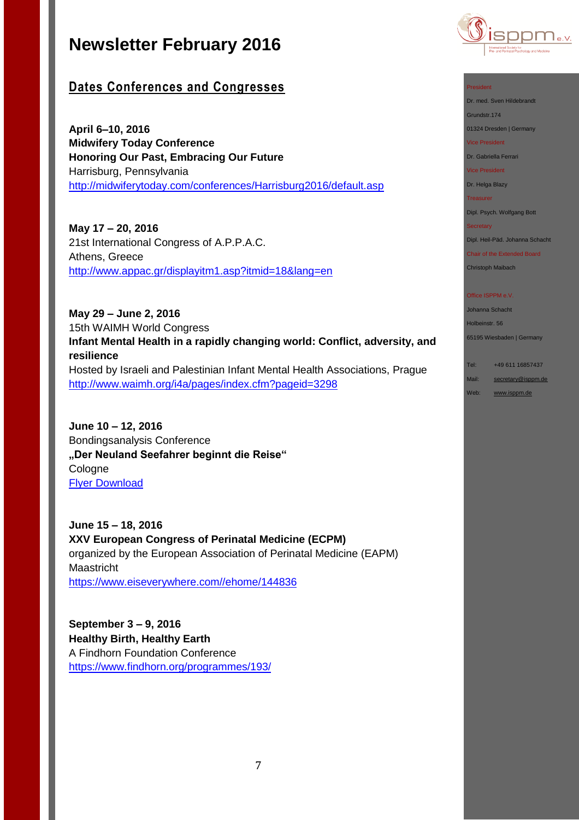

**April 6–10, 2016 Midwifery Today Conference Honoring Our Past, Embracing Our Future** Harrisburg, Pennsylvania <http://midwiferytoday.com/conferences/Harrisburg2016/default.asp>

**May 17 – 20, 2016** 21st International Congress of A.P.P.A.C. Athens, Greece <http://www.appac.gr/displayitm1.asp?itmid=18&lang=en>

**May 29 – June 2, 2016** 15th WAIMH World Congress **Infant Mental Health in a rapidly changing world: Conflict, adversity, and resilience** Hosted by Israeli and Palestinian Infant Mental Health Associations, Prague <http://www.waimh.org/i4a/pages/index.cfm?pageid=3298>

**June 10 – 12, 2016**  Bondingsanalysis Conference **"Der Neuland Seefahrer beginnt die Reise"** Cologne [Flyer Download](http://www.isppm.de/wp-content/uploads/2016/02/Flyer-BA-Tagung_2016.pdf)

**June 15 – 18, 2016 XXV European Congress of Perinatal Medicine (ECPM)** organized by the European Association of Perinatal Medicine (EAPM) Maastricht [https://www.eiseverywhere.com//ehome/144836](https://www.eiseverywhere.com/ehome/144836)

**September 3 – 9, 2016 Healthy Birth, Healthy Earth** A Findhorn Foundation Conference <https://www.findhorn.org/programmes/193/>



President

Dr. med. Sven Hildebrandt

Grundstr.174 01324 Dresden | Germany

Vice President

Dr. Gabriella Ferrari

Vice President

Dr. Helga Blazy Treasurer

Dipl. Psych. Wolfgang Bott

**Secretary** 

Dipl. Heil-Päd. Johanna Schacht

Chair of the Extended Board Christoph Maibach

Office ISPPM e.V.

Johanna Schacht Holbeinstr. 56 65195 Wiesbaden | Germany

Tel: +49 611 16857437

Mail: [secretary@isppm.de](mailto:secretary@isppm.de)

Web: [www.isppm.de](http://www.isppm.de/)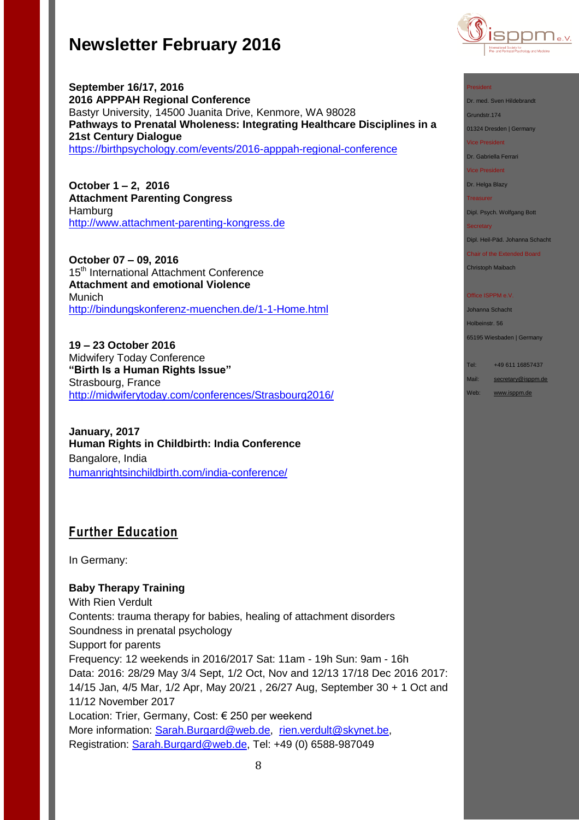

**September 16/17, 2016 2016 APPPAH Regional Conference** Bastyr University, 14500 Juanita Drive, Kenmore, WA 98028 **Pathways to Prenatal Wholeness: Integrating Healthcare Disciplines in a 21st Century Dialogue** <https://birthpsychology.com/events/2016-apppah-regional-conference>

**October 1 – 2, 2016 Attachment Parenting Congress** Hamburg [http://www.attachment-parenting-kongress.de](http://www.attachment-parenting-kongress.de/)

**October 07 – 09, 2016**  15<sup>th</sup> International Attachment Conference **Attachment and emotional Violence** Munich <http://bindungskonferenz-muenchen.de/1-1-Home.html>

**19 – 23 October 2016** Midwifery Today Conference **"Birth Is a Human Rights Issue"** Strasbourg, France <http://midwiferytoday.com/conferences/Strasbourg2016/>

**January, 2017 Human Rights in Childbirth: India Conference** Bangalore, India [humanrightsinchildbirth.com/india-conference/](http://humanrightsinchildbirth.com/india-conference/)

# **Further Education**

In Germany:

### **Baby Therapy Training**

With Rien Verdult Contents: trauma therapy for babies, healing of attachment disorders Soundness in prenatal psychology Support for parents Frequency: 12 weekends in 2016/2017 Sat: 11am - 19h Sun: 9am - 16h Data: 2016: 28/29 May 3/4 Sept, 1/2 Oct, Nov and 12/13 17/18 Dec 2016 2017: 14/15 Jan, 4/5 Mar, 1/2 Apr, May 20/21 , 26/27 Aug, September 30 + 1 Oct and 11/12 November 2017 Location: Trier, Germany, Cost: € 250 per weekend More information: [Sarah.Burgard@web.de,](mailto:Sarah.Burgard@web.de) [rien.verdult@skynet.be,](mailto:rien.verdult@skynet.be) Registration: [Sarah.Burgard@web.de,](mailto:Sarah.Burgard@web.de) Tel: +49 (0) 6588-987049

### President

Dr. med. Sven Hildebrandt

Grundstr.174

01324 Dresden | Germany

Vice President

Dr. Gabriella Ferrari

Vice President

Dr. Helga Blazy

Treasurer

Dipl. Psych. Wolfgang Bott

### **Secretary**

Dipl. Heil-Päd. Johanna Schacht

Chair of the Extended Board Christoph Maibach

### Office ISPPM e.V

Johanna Schacht Holbeinstr. 56

65195 Wiesbaden | Germany

Web: [www.isppm.de](http://www.isppm.de/)

Tel: +49 611 16857437

Mail: [secretary@isppm.de](mailto:secretary@isppm.de)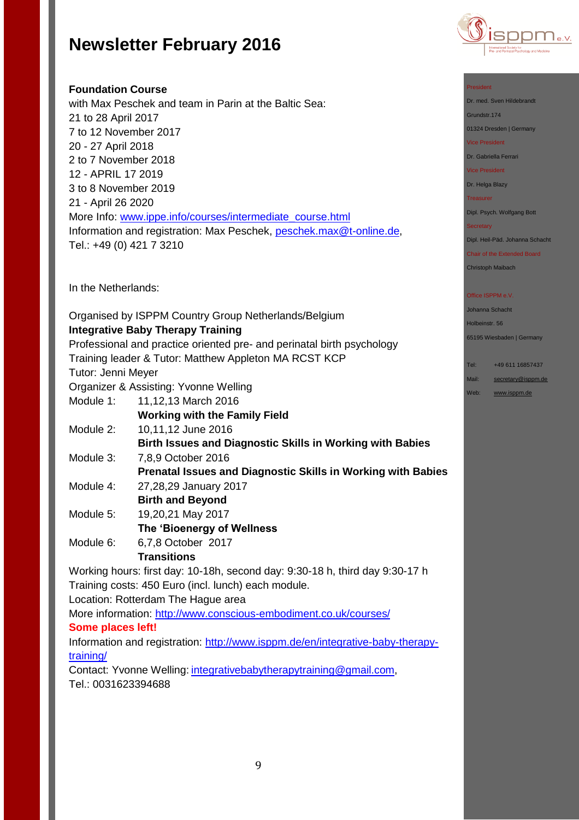

### **Foundation Course**

with Max Peschek and team in Parin at the Baltic Sea: 21 to 28 April 2017 7 to 12 November 2017 20 - 27 April 2018 2 to 7 November 2018 12 - APRIL 17 2019 3 to 8 November 2019 21 - April 26 2020 More Info: [www.ippe.info/courses/intermediate\\_course.html](http://www.ippe.info/courses/intermediate_course.html) Information and registration: Max Peschek, [peschek.max@t-online.de,](mailto:peschek.max@t-online.de) Tel.: +49 (0) 421 7 3210

In the Netherlands:

Organised by ISPPM Country Group Netherlands/Belgium **Integrative Baby Therapy Training**

Professional and practice oriented pre- and perinatal birth psychology Training leader & Tutor: Matthew Appleton MA RCST KCP

Tutor: Jenni Meyer

Organizer & Assisting: Yvonne Welling

Module 1: 11,12,13 March 2016

**Working with the Family Field**

- Module 2: 10,11,12 June 2016
	- **Birth Issues and Diagnostic Skills in Working with Babies**
- Module 3: 7,8,9 October 2016
	- **Prenatal Issues and Diagnostic Skills in Working with Babies**
- Module 4: 27,28,29 January 2017 **Birth and Beyond**
- Module 5: 19,20,21 May 2017
- **The 'Bioenergy of Wellness** Module 6: 6,7,8 October 2017

## **Transitions**

Working hours: first day: 10-18h, second day: 9:30-18 h, third day 9:30-17 h Training costs: 450 Euro (incl. lunch) each module.

Location: Rotterdam The Hague area

More information:<http://www.conscious-embodiment.co.uk/courses/>

### **Some places left!**

Information and registration: [http://www.isppm.de/en/integrative-baby-therapy](http://www.isppm.de/en/integrative-baby-therapy-training/)[training/](http://www.isppm.de/en/integrative-baby-therapy-training/)

Contact: Yvonne Welling: [integrativebabytherapytraining@gmail.com,](mailto:integrativebabytherapytraining@gmail.com) Tel.: 0031623394688

#### President

Dr. med. Sven Hildebrandt

Grundstr.174 01324 Dresden | Germany

Vice President

Dr. Gabriella Ferrari

Vice President

Dr. Helga Blazy

Treasurer

Dipl. Psych. Wolfgang Bott

#### **Secretary**

Dipl. Heil-Päd. Johanna Schacht

Chair of the Extended Board Christoph Maibach

### Office ISPPM e.V

Johanna Schacht Holbeinstr. 56

65195 Wiesbaden | Germany

Tel: +49 611 16857437

- Mail: [secretary@isppm.de](mailto:secretary@isppm.de)
- Web: [www.isppm.de](http://www.isppm.de/)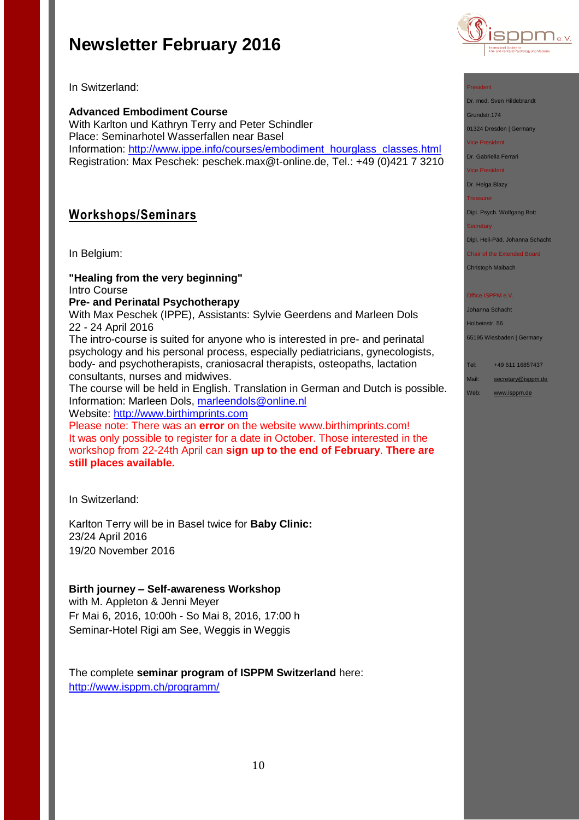

In Switzerland:

**Advanced Embodiment Course** With Karlton und Kathryn Terry and Peter Schindler Place: Seminarhotel Wasserfallen near Basel Information: [http://www.ippe.info/courses/embodiment\\_hourglass\\_classes.html](http://www.ippe.info/courses/embodiment_hourglass_classes.html)  Registration: Max Peschek: [peschek.max@t-online.de,](mailto:peschek.max@t-online.de) Tel.: +49 (0)421 7 3210

# **Workshops/Seminars**

In Belgium:

**"Healing from the very beginning"** Intro Course **Pre- and Perinatal Psychotherapy** With Max Peschek (IPPE), Assistants: Sylvie Geerdens and Marleen Dols 22 - 24 April 2016

The intro-course is suited for anyone who is interested in pre- and perinatal psychology and his personal process, especially pediatricians, gynecologists, body- and psychotherapists, craniosacral therapists, osteopaths, lactation consultants, nurses and midwives.

The course will be held in English. Translation in German and Dutch is possible. Information: Marleen Dols, [marleendols@online.nl](mailto:marleendols@online.nl) Website: [http://www.birthimprints.com](http://www.birthimprints.com/)

Please note: There was an **error** on the website www.birthimprints.com! It was only possible to register for a date in October. Those interested in the workshop from 22-24th April can **sign up to the end of February**. **There are still places available.**

In Switzerland:

Karlton Terry will be in Basel twice for **Baby Clinic:** 23/24 April 2016 19/20 November 2016

### **Birth journey – Self-awareness Workshop**

with M. Appleton & Jenni Meyer Fr Mai 6, 2016, 10:00h - So Mai 8, 2016, 17:00 h Seminar-Hotel Rigi am See, Weggis in Weggis

The complete **seminar program of ISPPM Switzerland** here: <http://www.isppm.ch/programm/>

### President

Dr. med. Sven Hildebrandt

Grundstr.174

01324 Dresden | Germany

Vice President

Dr. Gabriella Ferrari

Vice President

Dr. Helga Blazy

**Treasurer** 

Dipl. Psych. Wolfgang Bott

**Secretary** 

Dipl. Heil-Päd. Johanna Schacht

Chair of the Extended Board

Christoph Maibach

#### Office ISPPM e.V

Johanna Schacht Holbeinstr. 56 65195 Wiesbaden | Germany

Tel: +49 611 16857437

Mail: [secretary@isppm.de](mailto:secretary@isppm.de)

Web: [www.isppm.de](http://www.isppm.de/)